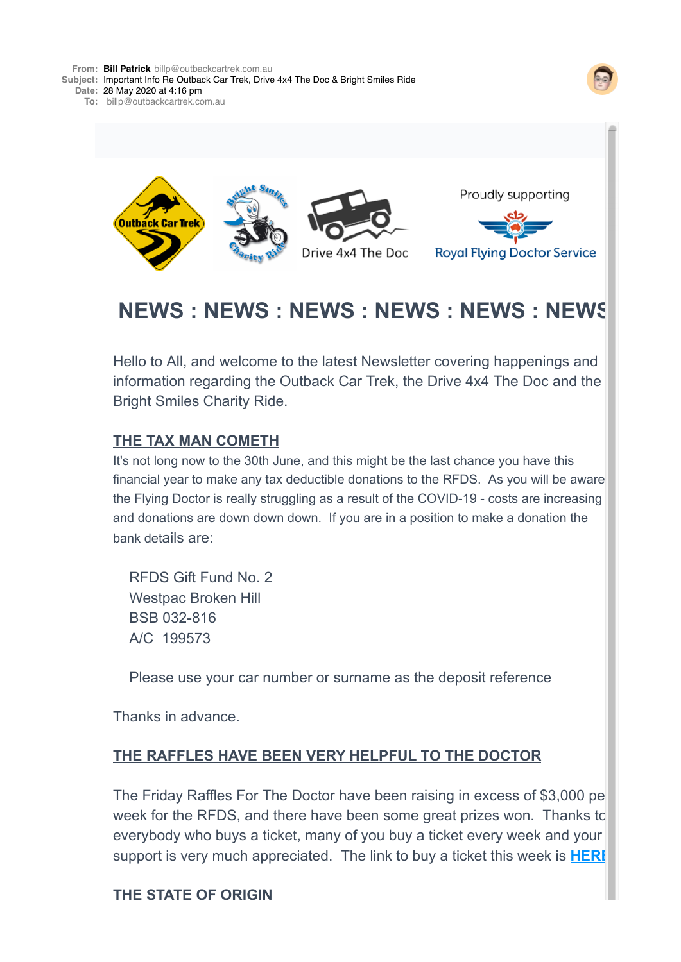



# **NEWS : NEWS : NEWS : NEWS : NEWS : NEWS**

Hello to All, and welcome to the latest Newsletter covering happenings and information regarding the Outback Car Trek, the Drive 4x4 The Doc and the Bright Smiles Charity Ride.

#### **THE TAX MAN COMETH**

It's not long now to the 30th June, and this might be the last chance you have this financial year to make any tax deductible donations to the RFDS. As you will be aware the Flying Doctor is really struggling as a result of the COVID-19 - costs are increasing and donations are down down down. If you are in a position to make a donation the bank details are:

 RFDS Gift Fund No. 2 Westpac Broken Hill BSB 032-816 A/C 199573

Please use your car number or surname as the deposit reference

Thanks in advance.

#### **THE RAFFLES HAVE BEEN VERY HELPFUL TO THE DOCTOR**

The Friday Raffles For The Doctor have been raising in excess of \$3,000 pe week for the RFDS, and there have been some great prizes won. Thanks to everybody who buys a ticket, many of you buy a ticket every week and your support is very much appreciated. The link to buy a ticket this week is **[HERE](https://4ljld.r.a.d.sendibm1.com/mk/cl/f/1uUEm8EjQReOP2CDnNZ_wa4UH4MVccUdaHzQpMdpDAOLNNKTc4Ql9rHWcGNEoaJp0jyB96_plNvNgzLkjaYwJ-BUV43CkAG6Y0GRNH8j9aeRDp4lPZLA9V81ItfErnl7xu21jsHl4i6M5T3qhMrNS3p9R84)**

#### **THE STATE OF ORIGIN**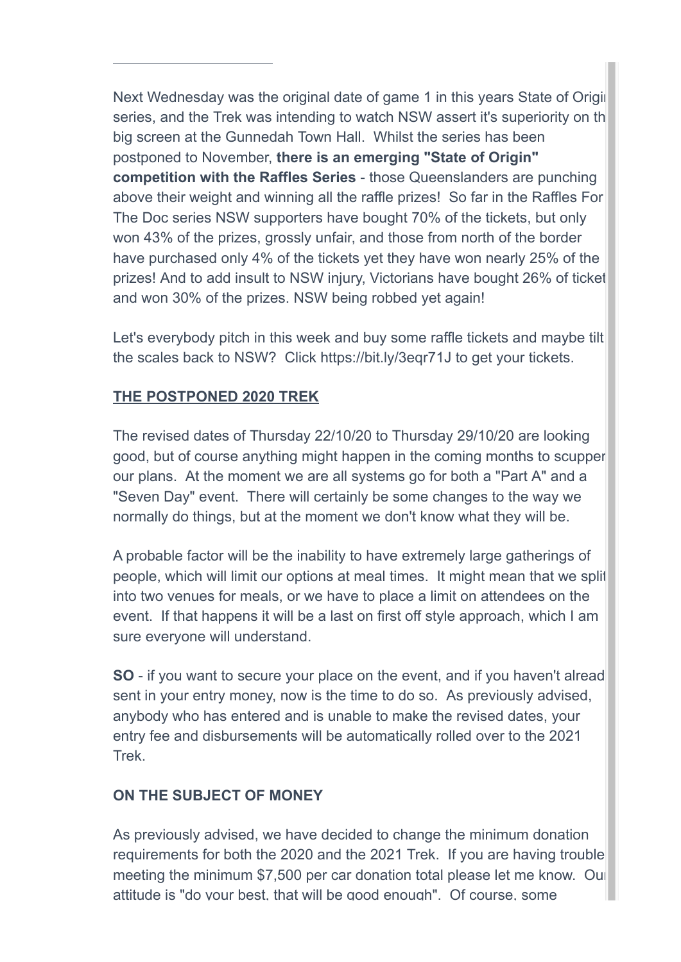Next Wednesday was the original date of game 1 in this years State of Origin series, and the Trek was intending to watch NSW assert it's superiority on the big screen at the Gunnedah Town Hall. Whilst the series has been postponed to November, **there is an emerging "State of Origin" competition with the Raffles Series** - those Queenslanders are punching above their weight and winning all the raffle prizes! So far in the Raffles For The Doc series NSW supporters have bought 70% of the tickets, but only won 43% of the prizes, grossly unfair, and those from north of the border have purchased only 4% of the tickets yet they have won nearly 25% of the prizes! And to add insult to NSW injury, Victorians have bought 26% of ticket and won 30% of the prizes. NSW being robbed yet again!

Let's everybody pitch in this week and buy some raffle tickets and maybe tilt the scales back to NSW? Click https://bit.ly/3eqr71J to get your tickets.

# **THE POSTPONED 2020 TREK**

**THE STATE OF ORIGINAL CONSUMING** 

The revised dates of Thursday 22/10/20 to Thursday 29/10/20 are looking good, but of course anything might happen in the coming months to scupper our plans. At the moment we are all systems go for both a "Part A" and a "Seven Day" event. There will certainly be some changes to the way we normally do things, but at the moment we don't know what they will be.

A probable factor will be the inability to have extremely large gatherings of people, which will limit our options at meal times. It might mean that we split into two venues for meals, or we have to place a limit on attendees on the event. If that happens it will be a last on first off style approach, which I am sure everyone will understand.

**SO** - if you want to secure your place on the event, and if you haven't alread sent in your entry money, now is the time to do so. As previously advised, anybody who has entered and is unable to make the revised dates, your entry fee and disbursements will be automatically rolled over to the 2021 Trek.

# **ON THE SUBJECT OF MONEY**

As previously advised, we have decided to change the minimum donation requirements for both the 2020 and the 2021 Trek. If you are having trouble meeting the minimum \$7,500 per car donation total please let me know. Our attitude is "do your best, that will be good enough". Of course, some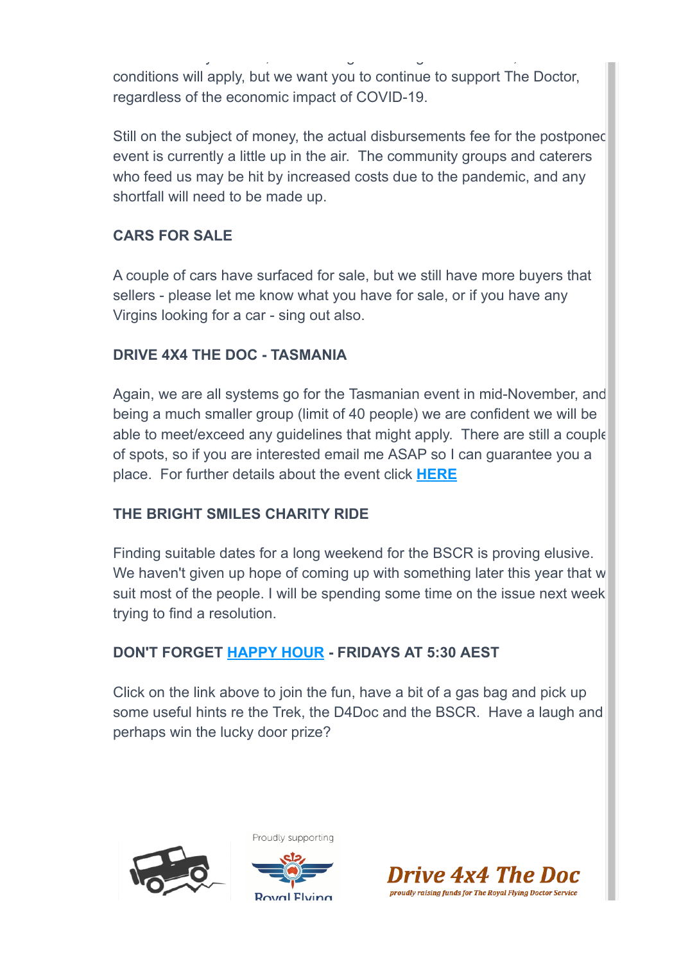attitude is "do your best, that will be good enough". Of course, some conditions will apply, but we want you to continue to support The Doctor, regardless of the economic impact of COVID-19.

Still on the subject of money, the actual disbursements fee for the postponed event is currently a little up in the air. The community groups and caterers who feed us may be hit by increased costs due to the pandemic, and any shortfall will need to be made up.

# **CARS FOR SALE**

A couple of cars have surfaced for sale, but we still have more buyers that sellers - please let me know what you have for sale, or if you have any Virgins looking for a car - sing out also.

### **DRIVE 4X4 THE DOC - TASMANIA**

Again, we are all systems go for the Tasmanian event in mid-November, and being a much smaller group (limit of 40 people) we are confident we will be able to meet/exceed any guidelines that might apply. There are still a couple of spots, so if you are interested email me ASAP so I can guarantee you a place. For further details about the event click **[HERE](https://4ljld.r.a.d.sendibm1.com/mk/cl/f/kSuFmDt5Qf-SBrWzic5UTHgTVut9jjAUmOYWB_dxzbeVB9hudAnr-aqsUOQw1Dm_F9ormLyEzeoI9IYisRUeFAhilky65w2mL_vOGTewdsYor2Md_r0i-Go4LZ-Y73aLI67xgR7LB0kv6EvHQnmS4C-59IHaBFd5StbiHKEVl-MO7fgi4IDPbKFW20zatNCMsb-JsZs2sl0V8gDsoHMD36Brs63m9nQ2ujEx1n_bDbeNMpe1JG5MkSL6rVyscAwP2cA4epJUcNrW)**

# **THE BRIGHT SMILES CHARITY RIDE**

Finding suitable dates for a long weekend for the BSCR is proving elusive. We haven't given up hope of coming up with something later this year that w suit most of the people. I will be spending some time on the issue next week trying to find a resolution.

#### **DON'T FORGET [HAPPY HOUR](https://4ljld.r.a.d.sendibm1.com/mk/cl/f/wRiX8cuzPjDy5-wG9qlwDNf70q7SNUUvvwiO7fjIssXAcPCOzO1K56J3rQ1u-9QTo342qQ3swOq_-kzfud7IIKMeU5uo7zoM6-k6BdrBuFSjzwt8_gv_4rVyAZ6P72n-jTTg8PofSpXb2nd8XmH7TldX_6WSd2gBRhEQ9wA_HUxt4EuJBICxyMdvUgWDxZdAAi201meYE1GmHs0qkCmpBDuHc5L4phk) - FRIDAYS AT 5:30 AEST**

Click on the link above to join the fun, have a bit of a gas bag and pick up some useful hints re the Trek, the D4Doc and the BSCR. Have a laugh and perhaps win the lucky door prize?





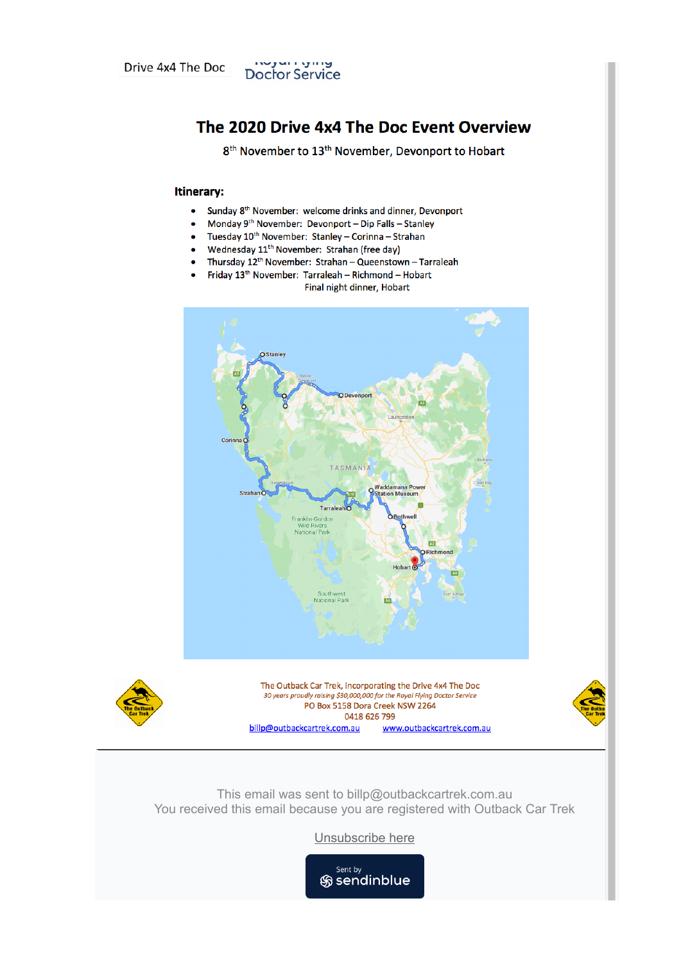

# The 2020 Drive 4x4 The Doc Event Overview

8<sup>th</sup> November to 13<sup>th</sup> November, Devonport to Hobart

#### Itinerary:

- $\bullet$ Sunday 8<sup>th</sup> November: welcome drinks and dinner, Devonport
- Monday 9<sup>th</sup> November: Devonport Dip Falls Stanley  $\bullet$
- Tuesday 10<sup>th</sup> November: Stanley Corinna Strahan  $\bullet$
- Wednesday  $11^{th}$  November: Strahan (free day)
- Thursday  $12^{th}$  November: Strahan Queenstown Tarraleah
- Friday 13<sup>th</sup> November: Tarraleah Richmond Hobart Final night dinner, Hobart





The Outback Car Trek, incorporating the Drive 4x4 The Doc 30 years proudly raising \$30,000,000 for the Royal Flying Doctor Service PO Box 5158 Dora Creek NSW 2264 0418 626 799 billp@outbackcartrek.com.au www.outbackcartrek.com.au



This email was sent to billp@outbackcartrek.com.au You received this email because you are registered with Outback Car Trek

Unsubscribe here